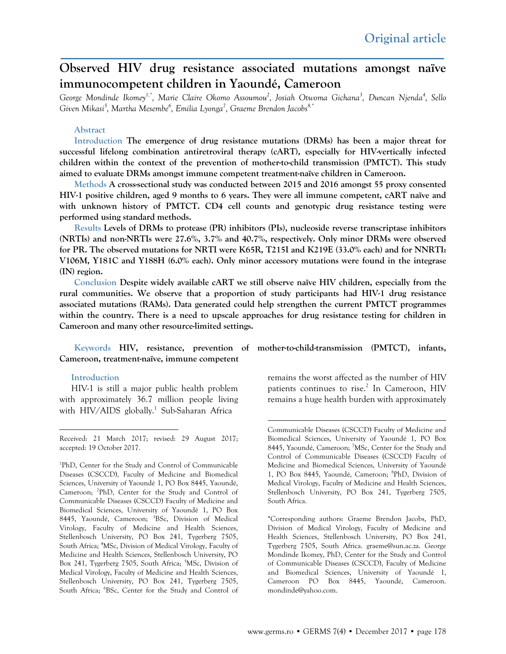# **Observed HIV drug resistance associated mutations amongst naïve immunocompetent children in Yaoundé, Cameroon**

*George Mondinde Ikomey1,\*, Marie Claire Okomo Assoumou2 , Josiah Otwoma Gichana3 , Duncan Njenda4 , Sello Given Mikasi5 , Martha Mesembe6 , Emilia Lyonga7 , Graeme Brendon Jacobs8,\**

#### **Abstract**

**Introduction The emergence of drug resistance mutations (DRMs) has been a major threat for successful lifelong combination antiretroviral therapy (cART), especially for HIV-vertically infected children within the context of the prevention of mother-to-child transmission (PMTCT). This study aimed to evaluate DRMs amongst immune competent treatment-naïve children in Cameroon.**

**Methods A cross-sectional study was conducted between 2015 and 2016 amongst 55 proxy consented HIV-1 positive children, aged 9 months to 6 years. They were all immune competent, cART naïve and with unknown history of PMTCT. CD4 cell counts and genotypic drug resistance testing were performed using standard methods.**

**Results Levels of DRMs to protease (PR) inhibitors (PIs), nucleoside reverse transcriptase inhibitors (NRTIs) and non-NRTIs were 27.6%, 3.7% and 40.7%, respectively. Only minor DRMs were observed for PR. The observed mutations for NRTI were K65R, T215I and K219E (33.0% each) and for NNRTI: V106M, Y181C and Y188H (6.0% each). Only minor accessory mutations were found in the integrase (IN) region.**

**Conclusion Despite widely available cART we still observe naïve HIV children, especially from the rural communities. We observe that a proportion of study participants had HIV-1 drug resistance associated mutations (RAMs). Data generated could help strengthen the current PMTCT programmes within the country. There is a need to upscale approaches for drug resistance testing for children in Cameroon and many other resource-limited settings.**

**Cameroon, treatment-naïve, immune competent**

#### **Introduction**

HIV-1 is still a major public health problem with approximately 36.7 million people living with HIV/AIDS globally.<sup>[1](#page-0-0)</sup> Sub-Saharan Africa

1 PhD, Center for the Study and Control of Communicable Diseases (CSCCD), Faculty of Medicine and Biomedical Sciences, University of Yaoundé 1, PO Box 8445, Yaoundé, Cameroon; <sup>2</sup>PhD, Center for the Study and Control of Communicable Diseases (CSCCD) Faculty of Medicine and Biomedical Sciences, University of Yaoundé 1, PO Box 8445, Yaoundé, Cameroon; <sup>3</sup>BSc, Division of Medical Virology, Faculty of Medicine and Health Sciences, Stellenbosch University, PO Box 241, Tygerberg 7505, South Africa; <sup>4</sup>MSc, Division of Medical Virology, Faculty of Medicine and Health Sciences, Stellenbosch University, PO Box 241, Tygerberg 7505, South Africa; <sup>5</sup>MSc, Division of Medical Virology, Faculty of Medicine and Health Sciences, Stellenbosch University, PO Box 241, Tygerberg 7505, South Africa; <sup>6</sup>BSc, Center for the Study and Control of

**Keywords HIV, resistance, prevention of mother-to-child-transmission (PMTCT), infants,** 

remains the worst affected as the number of HIV patients continues to rise. $2$  In Cameroon, HIV remains a huge health burden with approximately

<span id="page-0-0"></span>Received: 21 March 2017; revised: 29 August 2017; accepted: 19 October 2017.

Communicable Diseases (CSCCD) Faculty of Medicine and Biomedical Sciences, University of Yaoundé 1, PO Box 8445, Yaoundé, Cameroon; 7MSc, Center for the Study and Control of Communicable Diseases (CSCCD) Faculty of Medicine and Biomedical Sciences, University of Yaoundé 1, PO Box 8445, Yaoundé, Cameroon; 8 PhD, Division of Medical Virology, Faculty of Medicine and Health Sciences, Stellenbosch University, PO Box 241, Tygerberg 7505, South Africa.

<sup>\*</sup>Corresponding authors: Graeme Brendon Jacobs, PhD, Division of Medical Virology, Faculty of Medicine and Health Sciences, Stellenbosch University, PO Box 241, Tygerberg 7505, South Africa. graeme@sun.ac.za. George Mondinde Ikomey, PhD, Center for the Study and Control of Communicable Diseases (CSCCD), Faculty of Medicine and Biomedical Sciences, University of Yaoundé 1, Cameroon PO Box 8445, Yaoundé, Cameroon. mondinde@yahoo.com.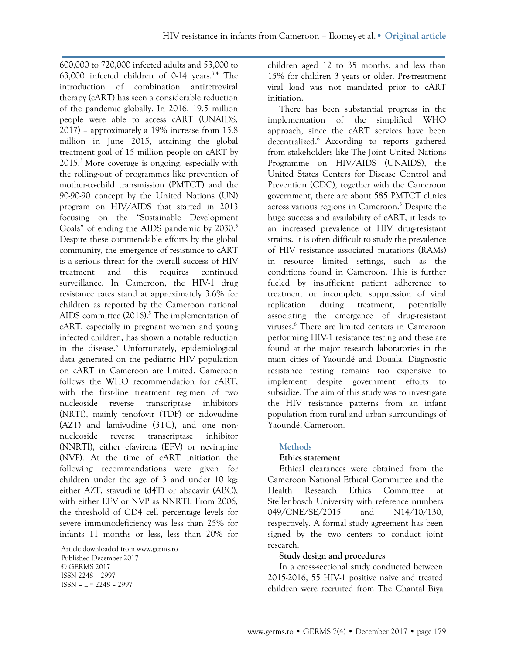600,000 to 720,000 infected adults and 53,000 to 63,000 infected children of 0-14 years.<sup>3,4</sup> The introduction of combination antiretroviral therapy (cART) has seen a considerable reduction of the pandemic globally. In 2016, 19.5 million people were able to access cART (UNAIDS, 2017) – approximately a 19% increase from 15.8 million in June 2015, attaining the global treatment goal of 15 million people on cART by  $2015<sup>3</sup>$  More coverage is ongoing, especially with the rolling-out of programmes like prevention of mother-to-child transmission (PMTCT) and the 90-90-90 concept by the United Nations (UN) program on HIV/AIDS that started in 2013 focusing on the "Sustainable Development Goals" of ending the AIDS pandemic by 2030.<sup>3</sup> Despite these commendable efforts by the global community, the emergence of resistance to cART is a serious threat for the overall success of HIV treatment and this requires continued surveillance. In Cameroon, the HIV-1 drug resistance rates stand at approximately 3.6% for children as reported by the Cameroon national AIDS committee (2016). <sup>5</sup> The implementation of cART, especially in pregnant women and young infected children, has shown a notable reduction in the disease. $5$  Unfortunately, epidemiological data generated on the pediatric HIV population on cART in Cameroon are limited. Cameroon follows the WHO recommendation for cART, with the first-line treatment regimen of two nucleoside reverse transcriptase inhibitors (NRTI), mainly tenofovir (TDF) or zidovudine (AZT) and lamivudine (3TC), and one nonnucleoside reverse transcriptase inhibitor (NNRTI), either efavirenz (EFV) or nevirapine (NVP). At the time of cART initiation the following recommendations were given for children under the age of 3 and under 10 kg: either AZT, stavudine (d4T) or abacavir (ABC), with either EFV or NVP as NNRTI. From 2006, the threshold of CD4 cell percentage levels for severe immunodeficiency was less than 25% for infants 11 months or less, less than 20% for

Article downloaded fro[m www.germs.ro](http://www.germs.ro/) Published December 2017 © GERMS 2017 ISSN 2248 – 2997 ISSN – L = 2248 – 2997

children aged 12 to 35 months, and less than 15% for children 3 years or older. Pre-treatment viral load was not mandated prior to cART initiation.

There has been substantial progress in the implementation of the simplified WHO approach, since the cART services have been decentralized.<sup>6</sup> According to reports gathered from stakeholders like The Joint United Nations Programme on HIV/AIDS (UNAIDS), the United States Centers for Disease Control and Prevention (CDC), together with the Cameroon government, there are about 585 PMTCT clinics across various regions in Cameroon.<sup>3</sup> Despite the huge success and availability of cART, it leads to an increased prevalence of HIV drug-resistant strains. It is often difficult to study the prevalence of HIV resistance associated mutations (RAMs) in resource limited settings, such as the conditions found in Cameroon. This is further fueled by insufficient patient adherence to treatment or incomplete suppression of viral replication during treatment, potentially associating the emergence of drug-resistant viruses.6 There are limited centers in Cameroon performing HIV-1 resistance testing and these are found at the major research laboratories in the main cities of Yaoundé and Douala. Diagnostic resistance testing remains too expensive to implement despite government efforts to subsidize. The aim of this study was to investigate the HIV resistance patterns from an infant population from rural and urban surroundings of Yaoundé, Cameroon.

#### **Methods**

#### **Ethics statement**

Ethical clearances were obtained from the Cameroon National Ethical Committee and the Health Research Ethics Committee at Stellenbosch University with reference numbers 049/CNE/SE/2015 and N14/10/130, respectively. A formal study agreement has been signed by the two centers to conduct joint research.

## **Study design and procedures**

In a cross-sectional study conducted between 2015-2016, 55 HIV-1 positive naïve and treated children were recruited from The Chantal Biya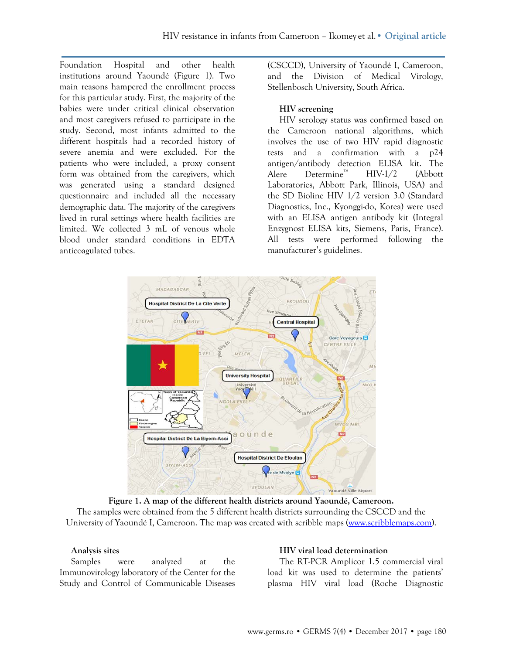Foundation Hospital and other health institutions around Yaoundé (Figure 1). Two main reasons hampered the enrollment process for this particular study. First, the majority of the babies were under critical clinical observation and most caregivers refused to participate in the study. Second, most infants admitted to the different hospitals had a recorded history of severe anemia and were excluded. For the patients who were included, a proxy consent form was obtained from the caregivers, which was generated using a standard designed questionnaire and included all the necessary demographic data. The majority of the caregivers lived in rural settings where health facilities are limited. We collected 3 mL of venous whole blood under standard conditions in EDTA anticoagulated tubes.

(CSCCD), University of Yaoundé I, Cameroon, and the Division of Medical Virology, Stellenbosch University, South Africa.

### **HIV screening**

HIV serology status was confirmed based on the Cameroon national algorithms, which involves the use of two HIV rapid diagnostic tests and a confirmation with a p24 antigen/antibody detection ELISA kit. The Alere Determine™ HIV-1/2 (Abbott Laboratories, Abbott Park, Illinois, USA) and the SD Bioline HIV 1/2 version 3.0 (Standard Diagnostics, Inc., Kyonggi-do, Korea) were used with an ELISA antigen antibody kit (Integral Enzygnost ELISA kits, Siemens, Paris, France). All tests were performed following the manufacturer's guidelines.



**Figure 1. A map of the different health districts around Yaoundé, Cameroon.** The samples were obtained from the 5 different health districts surrounding the CSCCD and the University of Yaoundé I, Cameroon. The map was created with scribble maps [\(www.scribblemaps.com\)](http://www.scribblemaps.com/).

#### **Analysis sites**

Samples were analyzed at the Immunovirology laboratory of the Center for the Study and Control of Communicable Diseases

#### **HIV viral load determination**

The RT-PCR Amplicor 1.5 commercial viral load kit was used to determine the patients' plasma HIV viral load (Roche Diagnostic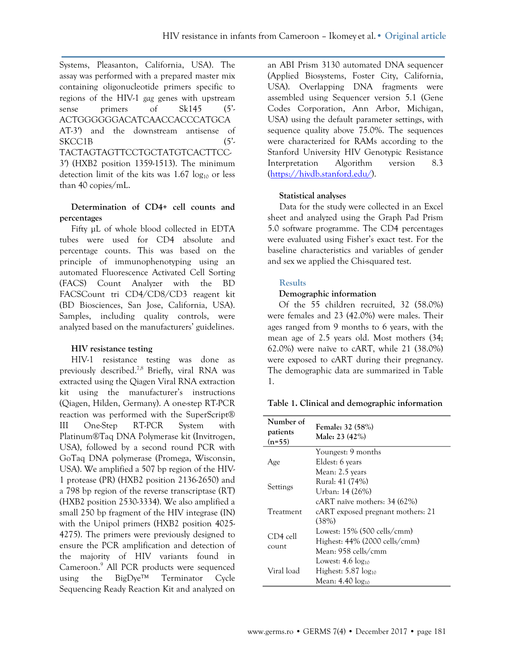Systems, Pleasanton, California, USA). The assay was performed with a prepared master mix containing oligonucleotide primers specific to regions of the HIV-1 *gag* genes with upstream sense primers of Sk145 (5<sup>'</sup>-ACTGGGGGGACATCAACCACCCATGCA AT-3′) and the downstream antisense of SKCC1B (5'-TACTAGTAGTTCCTGCTATGTCACTTCC-3′) (HXB2 position 1359-1513). The minimum detection limit of the kits was  $1.67 \log_{10}$  or less than 40 copies/mL.

### **Determination of CD4+ cell counts and percentages**

Fifty µL of whole blood collected in EDTA tubes were used for CD4 absolute and percentage counts. This was based on the principle of immunophenotyping using an automated Fluorescence Activated Cell Sorting (FACS) Count Analyzer with the BD FACSCount tri CD4/CD8/CD3 reagent kit (BD Biosciences, San Jose, California, USA). Samples, including quality controls, were analyzed based on the manufacturers' guidelines.

## **HIV resistance testing**

HIV-1 resistance testing was done as previously described.<sup>7,8</sup> Briefly, viral RNA was extracted using the Qiagen Viral RNA extraction kit using the manufacturer's instructions (Qiagen, Hilden, Germany). A one-step RT-PCR reaction was performed with the SuperScript® III One-Step RT-PCR System with Platinum®Taq DNA Polymerase kit (Invitrogen, USA), followed by a second round PCR with GoTaq DNA polymerase (Promega, Wisconsin, USA). We amplified a 507 bp region of the HIV-1 protease (PR) (HXB2 position 2136-2650) and a 798 bp region of the reverse transcriptase (RT) (HXB2 position 2530-3334). We also amplified a small 250 bp fragment of the HIV integrase (IN) with the Unipol primers (HXB2 position 4025- 4275). The primers were previously designed to ensure the PCR amplification and detection of the majority of HIV variants found in Cameroon.9 All PCR products were sequenced using the BigDye™ Terminator Cycle Sequencing Ready Reaction Kit and analyzed on

an ABI Prism 3130 automated DNA sequencer (Applied Biosystems, Foster City, California, USA). Overlapping DNA fragments were assembled using Sequencer version 5.1 (Gene Codes Corporation, Ann Arbor, Michigan, USA) using the default parameter settings, with sequence quality above 75.0%. The sequences were characterized for RAMs according to the Stanford University HIV Genotypic Resistance Interpretation Algorithm version 8.3 [\(https://hivdb.stanford.edu/\)](https://hivdb.stanford.edu/).

### **Statistical analyses**

Data for the study were collected in an Excel sheet and analyzed using the Graph Pad Prism 5.0 software programme. The CD4 percentages were evaluated using Fisher's exact test. For the baseline characteristics and variables of gender and sex we applied the Chi-squared test.

### **Results**

### **Demographic information**

Of the 55 children recruited, 32 (58.0%) were females and 23 (42.0%) were males. Their ages ranged from 9 months to 6 years, with the mean age of 2.5 years old. Most mothers (34; 62.0%) were naïve to cART, while 21 (38.0%) were exposed to cART during their pregnancy. The demographic data are summarized in Table 1.

#### **Table 1. Clinical and demographic information**

| Number of<br>patients<br>$(n=55)$ | Female: 32 (58%)<br>Male: 23 (42%) |
|-----------------------------------|------------------------------------|
|                                   | Youngest: 9 months                 |
| Age                               | Eldest: 6 years                    |
|                                   | Mean: 2.5 years                    |
|                                   | Rural: 41 (74%)                    |
| Settings                          | Urban: 14 (26%)                    |
|                                   | cART naïve mothers: 34 (62%)       |
| Treatment                         | cART exposed pregnant mothers: 21  |
|                                   | (38%)                              |
|                                   | Lowest: 15% (500 cells/cmm)        |
| CD4 cell                          | Highest: 44% (2000 cells/cmm)      |
| count                             | Mean: 958 cells/cmm                |
|                                   | Lowest: $4.6 \log_{10}$            |
| Viral load                        | Highest: $5.87 \log_{10}$          |
|                                   | Mean: 4.40 log10                   |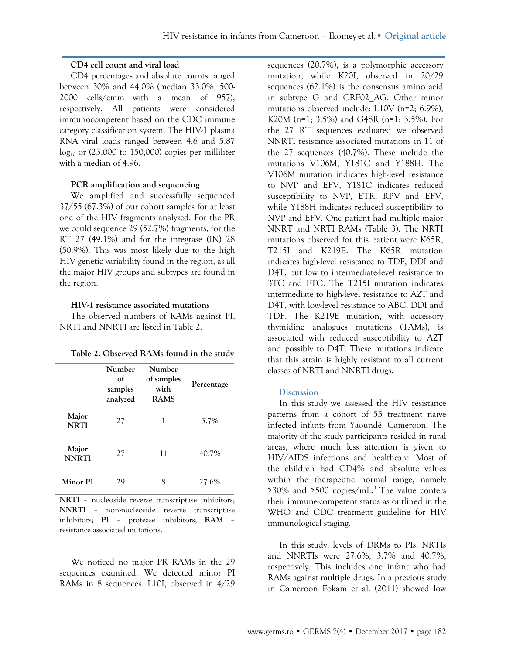#### **CD4 cell count and viral load**

CD4 percentages and absolute counts ranged between 30% and 44.0% (median 33.0%, 500- 2000 cells/cmm with a mean of 957), respectively. All patients were considered immunocompetent based on the CDC immune category classification system. The HIV-1 plasma RNA viral loads ranged between 4.6 and 5.87  $log_{10}$  or (23,000 to 150,000) copies per milliliter with a median of 4.96.

#### **PCR amplification and sequencing**

We amplified and successfully sequenced 37/55 (67.3%) of our cohort samples for at least one of the HIV fragments analyzed. For the PR we could sequence 29 (52.7%) fragments, for the RT 27 (49.1%) and for the integrase (IN) 28 (50.9%). This was most likely due to the high HIV genetic variability found in the region, as all the major HIV groups and subtypes are found in the region.

#### **HIV-1 resistance associated mutations**

The observed numbers of RAMs against PI, NRTI and NNRTI are listed in Table 2.

|                       | Number<br>$\alpha$<br>samples<br>analyzed | Number<br>of samples<br>with<br><b>RAMS</b> | Percentage |  |  |  |
|-----------------------|-------------------------------------------|---------------------------------------------|------------|--|--|--|
| Major<br><b>NRTI</b>  | 27                                        | 1                                           | 3.7%       |  |  |  |
| Major<br><b>NNRTI</b> | 27                                        | 11                                          | 40.7%      |  |  |  |
| Minor PI              | 29                                        |                                             | 27.6%      |  |  |  |

| Table 2. Observed RAMs found in the study |  |  |  |
|-------------------------------------------|--|--|--|
|                                           |  |  |  |

**NRTI** – nucleoside reverse transcriptase inhibitors; **NNRTI** – non-nucleoside reverse transcriptase inhibitors; **PI** – protease inhibitors; **RAM** – resistance associated mutations.

We noticed no major PR RAMs in the 29 sequences examined. We detected minor PI RAMs in 8 sequences. L10I, observed in 4/29

sequences (20.7%), is a polymorphic accessory mutation, while K20I, observed in 20/29 sequences (62.1%) is the consensus amino acid in subtype G and CRF02\_AG. Other minor mutations observed include: L10V (n=2; 6.9%), K20M (n=1; 3.5%) and G48R (n=1; 3.5%). For the 27 RT sequences evaluated we observed NNRTI resistance associated mutations in 11 of the 27 sequences (40.7%). These include the mutations V106M, Y181C and Y188H. The V106M mutation indicates high-level resistance to NVP and EFV, Y181C indicates reduced susceptibility to NVP, ETR, RPV and EFV, while Y188H indicates reduced susceptibility to NVP and EFV. One patient had multiple major NNRT and NRTI RAMs (Table 3). The NRTI mutations observed for this patient were K65R, T215I and K219E. The K65R mutation indicates high-level resistance to TDF, DDI and D4T, but low to intermediate-level resistance to 3TC and FTC. The T215I mutation indicates intermediate to high-level resistance to AZT and D4T, with low-level resistance to ABC, DDI and TDF. The K219E mutation, with accessory thymidine analogues mutations (TAMs), is associated with reduced susceptibility to AZT and possibly to D4T. These mutations indicate that this strain is highly resistant to all current classes of NRTI and NNRTI drugs.

#### **Discussion**

In this study we assessed the HIV resistance patterns from a cohort of 55 treatment naïve infected infants from Yaoundé, Cameroon. The majority of the study participants resided in rural areas, where much less attention is given to HIV/AIDS infections and healthcare. Most of the children had CD4% and absolute values within the therapeutic normal range, namely  $>30\%$  and  $>500$  copies/mL.<sup>3</sup> The value confers their immune-competent status as outlined in the WHO and CDC treatment guideline for HIV immunological staging.

In this study, levels of DRMs to PIs, NRTIs and NNRTIs were 27.6%, 3.7% and 40.7%, respectively. This includes one infant who had RAMs against multiple drugs. In a previous study in Cameroon Fokam et al. (2011) showed low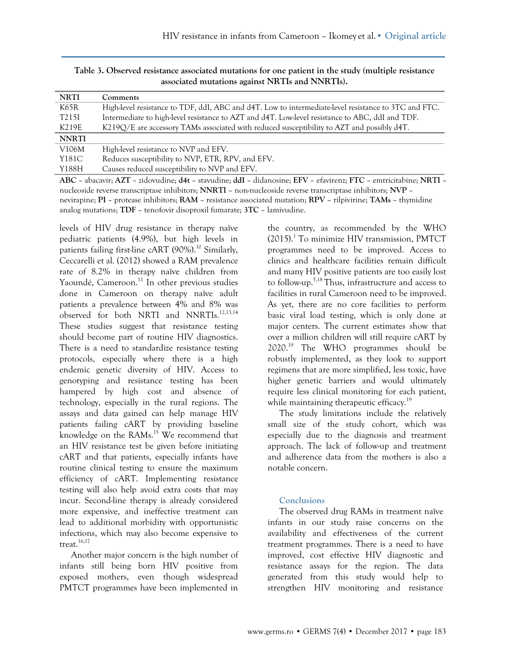| <b>NRTI</b>        | Comments                                                                                                                                                                                                                                                 |
|--------------------|----------------------------------------------------------------------------------------------------------------------------------------------------------------------------------------------------------------------------------------------------------|
| K65R               | High-level resistance to TDF, ddI, ABC and d4T. Low to intermediate-level resistance to 3TC and FTC.                                                                                                                                                     |
| T <sub>2</sub> 15I | Intermediate to high-level resistance to AZT and d4T. Low-level resistance to ABC, ddI and TDF.                                                                                                                                                          |
| K219E              | K219Q/E are accessory TAMs associated with reduced susceptibility to AZT and possibly d4T.                                                                                                                                                               |
| <b>NNRTI</b>       |                                                                                                                                                                                                                                                          |
| V106M              | High-level resistance to NVP and EFV.                                                                                                                                                                                                                    |
| Y181C              | Reduces susceptibility to NVP, ETR, RPV, and EFV.                                                                                                                                                                                                        |
| Y188H              | Causes reduced susceptibility to NVP and EFV.                                                                                                                                                                                                            |
| $\sqrt{2}$         | $\pm$ $\sqrt{2}$ and $\pm$ 1.1 $\pm$ 1.1 $\pm$ 1.1 $\pm$ 1.1 $\pm$ 1.1 $\pm$ 1.1 $\pm$ 1.1 $\pm$ 1.1 $\pm$ 1.1 $\pm$ 1.1 $\pm$ 1.1 $\pm$ 1.1 $\pm$ 1.1 $\pm$ 1.1 $\pm$ 1.1 $\pm$ 1.1 $\pm$ 1.1 $\pm$ 1.1 $\pm$ 1.1 $\pm$ 1.1 $\pm$ 1.1 $\pm$ 1.1 $\pm$ 1 |

**Table 3. Observed resistance associated mutations for one patient in the study (multiple resistance associated mutations against NRTIs and NNRTIs).**

**ABC** – abacavir; **AZT** – zidovudine; **d4t** – stavudine; **ddI** – didanosine; **EFV** – efavirenz; **FTC** – emtricitabine; **NRTI** – nucleoside reverse transcriptase inhibitors; **NNRTI** – non-nucleoside reverse transcriptase inhibitors; **NVP** – nevirapine; **PI** – protease inhibitors; **RAM** – resistance associated mutation; **RPV** – rilpivirine; **TAMs** – thymidine analog mutations; **TDF** – tenofovir disoproxil fumarate; **3TC** – lamivudine.

levels of HIV drug resistance in therapy naïve pediatric patients (4.9%), but high levels in patients failing first-line cART  $(90\%)$ .<sup>10</sup> Similarly, Ceccarelli et al. (2012) showed a RAM prevalence rate of 8.2% in therapy naïve children from Yaoundé, Cameroon.<sup>11</sup> In other previous studies done in Cameroon on therapy naïve adult patients a prevalence between 4% and 8% was observed for both NRTI and NNRTIs.12,13,14 These studies suggest that resistance testing should become part of routine HIV diagnostics. There is a need to standardize resistance testing protocols, especially where there is a high endemic genetic diversity of HIV. Access to genotyping and resistance testing has been hampered by high cost and absence of technology, especially in the rural regions. The assays and data gained can help manage HIV patients failing cART by providing baseline knowledge on the RAMs.<sup>15</sup> We recommend that an HIV resistance test be given before initiating cART and that patients, especially infants have routine clinical testing to ensure the maximum efficiency of cART. Implementing resistance testing will also help avoid extra costs that may incur. Second-line therapy is already considered more expensive, and ineffective treatment can lead to additional morbidity with opportunistic infections, which may also become expensive to treat.<sup>16,17</sup>

Another major concern is the high number of infants still being born HIV positive from exposed mothers, even though widespread PMTCT programmes have been implemented in

the country, as recommended by the WHO (2015).1 To minimize HIV transmission, PMTCT programmes need to be improved. Access to clinics and healthcare facilities remain difficult and many HIV positive patients are too easily lost to follow-up.5,18 Thus, infrastructure and access to facilities in rural Cameroon need to be improved. As yet, there are no core facilities to perform basic viral load testing, which is only done at major centers. The current estimates show that over a million children will still require cART by  $2020.^{19}$  The WHO programmes should be robustly implemented, as they look to support regimens that are more simplified, less toxic, have higher genetic barriers and would ultimately require less clinical monitoring for each patient, while maintaining therapeutic efficacy.<sup>19</sup>

The study limitations include the relatively small size of the study cohort, which was especially due to the diagnosis and treatment approach. The lack of follow-up and treatment and adherence data from the mothers is also a notable concern.

#### **Conclusions**

The observed drug RAMs in treatment naïve infants in our study raise concerns on the availability and effectiveness of the current treatment programmes. There is a need to have improved, cost effective HIV diagnostic and resistance assays for the region. The data generated from this study would help to strengthen HIV monitoring and resistance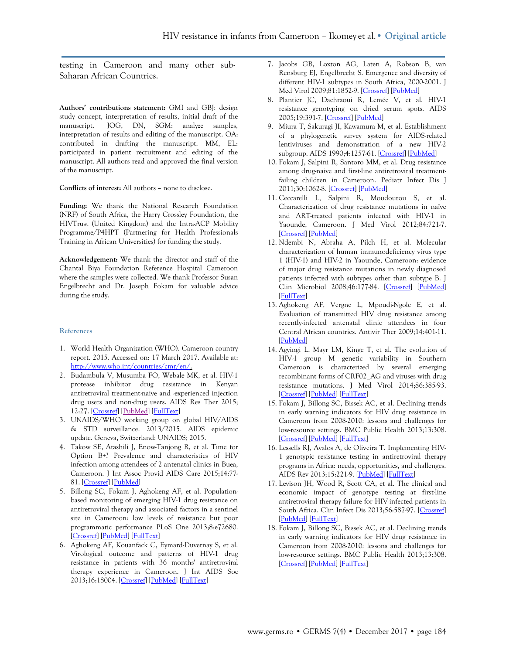testing in Cameroon and many other sub-Saharan African Countries.

**Authors' contributions statement:** GMI and GBJ: design study concept, interpretation of results, initial draft of the manuscript. JOG, DN, SGM: analyze samples, interpretation of results and editing of the manuscript. OA: contributed in drafting the manuscript. MM, EL: participated in patient recruitment and editing of the manuscript. All authors read and approved the final version of the manuscript.

**Conflicts of interest:** All authors – none to disclose.

**Funding:** We thank the National Research Foundation (NRF) of South Africa, the Harry Crossley Foundation, the HIVTrust (United Kingdom) and the Intra-ACP Mobility Programme/P4HPT (Partnering for Health Professionals Training in African Universities) for funding the study.

**Acknowledgement:** We thank the director and staff of the Chantal Biya Foundation Reference Hospital Cameroon where the samples were collected. We thank Professor Susan Engelbrecht and Dr. Joseph Fokam for valuable advice during the study.

#### **References**

- 1. World Health Organization (WHO). Cameroon country report. 2015. Accessed on: 17 March 2017. Available at: [http://www.who.int/countries/cmr/en/.](http://www.who.int/countries/cmr/en/)
- 2. Budambula V, Musumba FO, Webale MK, et al. HIV-1 protease inhibitor drug resistance in Kenyan antiretroviral treatment-naive and -experienced injection drug users and non-drug users. AIDS Res Ther 2015; 12:27. [\[Crossref\]](https://doi.org/10.1186/s12981-015-0070-y) [\[PubMed\]](http://www.ncbi.nlm.nih.gov/pubmed/26279669) [\[FullText\]](http://www.ncbi.nlm.nih.gov/pmc/articles/PMC4537595)
- 3. UNAIDS/WHO working group on global HIV/AIDS & STD surveillance. 2013/2015. AIDS epidemic update. Geneva, Switzerland: UNAIDS; 2015.
- 4. Takow SE, Atashili J, Enow-Tanjong R, et al. Time for Option B+? Prevalence and characteristics of HIV infection among attendees of 2 antenatal clinics in Buea, Cameroon. J Int Assoc Provid AIDS Care 2015;14:77- 81. [\[Crossref\]](https://doi.org/10.1177/2325957413510607) [\[PubMed\]](http://www.ncbi.nlm.nih.gov/pubmed/24309753)
- 5. Billong SC, Fokam J, Aghokeng AF, et al. Populationbased monitoring of emerging HIV-1 drug resistance on antiretroviral therapy and associated factors in a sentinel site in Cameroon: low levels of resistance but poor programmatic performance PLoS One 2013;8:e72680. [\[Crossref\]](https://doi.org/10.1371/journal.pone.0072680) [\[PubMed\]](http://www.ncbi.nlm.nih.gov/pubmed/23991142) [\[FullText\]](http://www.ncbi.nlm.nih.gov/pmc/articles/PMC3753336)
- 6. Aghokeng AF, Kouanfack C, Eymard-Duvernay S, et al. Virological outcome and patterns of HIV-1 drug resistance in patients with 36 months' antiretroviral therapy experience in Cameroon. J Int AIDS Soc 2013;16:18004. [\[Crossref\]](https://doi.org/10.7448/IAS.16.1.18004) [\[PubMed\]](http://www.ncbi.nlm.nih.gov/pubmed/23374858) [\[FullText\]](http://www.ncbi.nlm.nih.gov/pmc/articles/PMC3562358)
- 7. Jacobs GB, Loxton AG, Laten A, Robson B, van Rensburg EJ, Engelbrecht S. Emergence and diversity of different HIV-1 subtypes in South Africa, 2000-2001. J Med Virol 2009;81:1852-9. [\[Crossref\]](https://doi.org/10.1002/jmv.21609) [\[PubMed\]](http://www.ncbi.nlm.nih.gov/pubmed/19774685)
- 8. Plantier JC, Dachraoui R, Lemée V, et al. HIV-1 resistance genotyping on dried serum spots. AIDS 2005;19:391-7. [\[Crossref\]](https://doi.org/10.1097/01.aids.0000161768.98534.e7) [\[PubMed\]](http://www.ncbi.nlm.nih.gov/pubmed/15750392)
- 9. Miura T, Sakuragi JI, Kawamura M, et al. Establishment of a phylogenetic survey system for AIDS-related lentiviruses and demonstration of a new HIV-2 subgroup. AIDS 1990;4:1257-61. [\[Crossref\]](https://doi.org/10.1097/00002030-199012000-00012) [\[PubMed\]](http://www.ncbi.nlm.nih.gov/pubmed/1965125)
- 10. Fokam J, Salpini R, Santoro MM, et al. Drug resistance among drug-naive and first-line antiretroviral treatmentfailing children in Cameroon. Pediatr Infect Dis J 2011;30:1062-8. [\[Crossref\]](https://doi.org/10.1097/INF.0b013e31822db54c) [\[PubMed\]](http://www.ncbi.nlm.nih.gov/pubmed/21817951)
- 11. Ceccarelli L, Salpini R, Moudourou S, et al. Characterization of drug resistance mutations in naïve and ART-treated patients infected with HIV-1 in Yaounde, Cameroon. J Med Virol 2012;84:721-7. [\[Crossref\]](https://doi.org/10.1002/jmv.23244) [\[PubMed\]](http://www.ncbi.nlm.nih.gov/pubmed/22431019)
- 12. Ndembi N, Abraha A, Pilch H, et al. Molecular characterization of human immunodeficiency virus type 1 (HIV-1) and HIV-2 in Yaounde, Cameroon: evidence of major drug resistance mutations in newly diagnosed patients infected with subtypes other than subtype B. J Clin Microbiol 2008;46:177-84. [\[Crossref\]](https://doi.org/10.1128/JCM.00428-07) [\[PubMed\]](http://www.ncbi.nlm.nih.gov/pubmed/17855574)  [\[FullText\]](http://www.ncbi.nlm.nih.gov/pmc/articles/PMC2224252)
- 13. Aghokeng AF, Vergne L, Mpoudi-Ngole E, et al. Evaluation of transmitted HIV drug resistance among recently-infected antenatal clinic attendees in four Central African countries. Antivir Ther 2009;14:401-11. [\[PubMed\]](http://www.ncbi.nlm.nih.gov/pubmed/19474474)
- 14. Agyingi L, Mayr LM, Kinge T, et al. The evolution of HIV-1 group M genetic variability in Southern Cameroon is characterized by several emerging recombinant forms of CRF02\_AG and viruses with drug resistance mutations. J Med Virol 2014;86:385-93. [\[Crossref\]](https://doi.org/10.1002/jmv.23846) [\[PubMed\]](http://www.ncbi.nlm.nih.gov/pubmed/24248638) [\[FullText\]](http://www.ncbi.nlm.nih.gov/pmc/articles/PMC4011137)
- 15. Fokam J, Billong SC, Bissek AC, et al. Declining trends in early warning indicators for HIV drug resistance in Cameroon from 2008-2010: lessons and challenges for low-resource settings. BMC Public Health 2013;13:308. [\[Crossref\]](https://doi.org/10.1186/1471-2458-13-308) [\[PubMed\]](http://www.ncbi.nlm.nih.gov/pubmed/23565992) [\[FullText\]](http://www.ncbi.nlm.nih.gov/pmc/articles/PMC3627634)
- 16. Lessells RJ, Avalos A, de Oliveira T. Implementing HIV-1 genotypic resistance testing in antiretroviral therapy programs in Africa: needs, opportunities, and challenges. AIDS Rev 2013;15:221-9. [\[PubMed\]](http://www.ncbi.nlm.nih.gov/pubmed/24322382) [\[FullText\]](http://www.ncbi.nlm.nih.gov/pmc/articles/PMC3951902)
- 17. Levison JH, Wood R, Scott CA, et al. The clinical and economic impact of genotype testing at first-line antiretroviral therapy failure for HIV-infected patients in South Africa. Clin Infect Dis 2013;56:587-97. [\[Crossref\]](https://doi.org/10.1093/cid/cis887)  [\[PubMed\]](http://www.ncbi.nlm.nih.gov/pubmed/23087386) [\[FullText\]](http://www.ncbi.nlm.nih.gov/pmc/articles/PMC3552524)
- 18. Fokam J, Billong SC, Bissek AC, et al. Declining trends in early warning indicators for HIV drug resistance in Cameroon from 2008-2010: lessons and challenges for low-resource settings. BMC Public Health 2013;13:308. [\[Crossref\]](https://doi.org/10.1186/1471-2458-13-308) [\[PubMed\]](http://www.ncbi.nlm.nih.gov/pubmed/23565992) [\[FullText\]](http://www.ncbi.nlm.nih.gov/pmc/articles/PMC3627634)